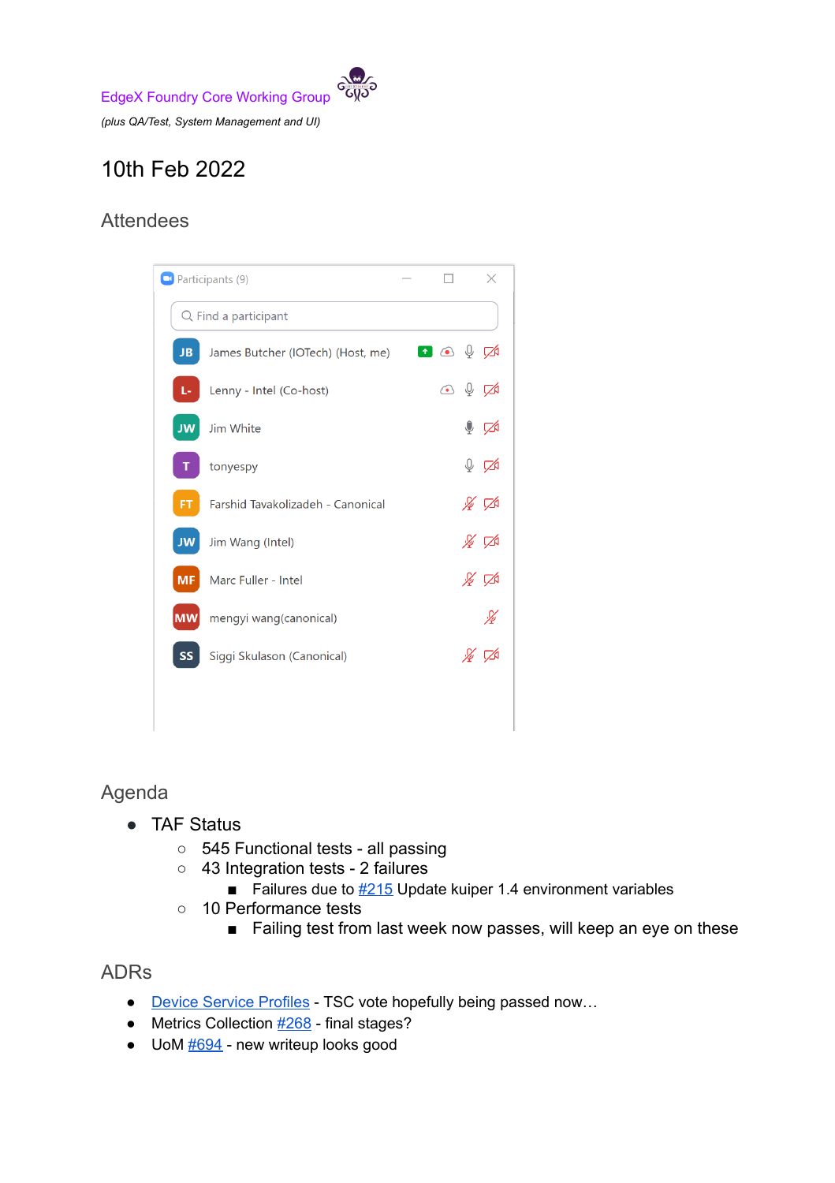

# 10th Feb 2022

## Attendees



### Agenda

- **TAF Status** 
	- 545 Functional tests all passing
	- 43 Integration tests 2 failures
		- Failures due to  $\frac{\#215}{\#215}$  $\frac{\#215}{\#215}$  $\frac{\#215}{\#215}$  Update kuiper 1.4 environment variables
	- 10 Performance tests
		- Failing test from last week now passes, will keep an eye on these

#### ADRs

- **Device Service [Profiles](https://github.com/edgexfoundry/edgex-docs/pull/674)** TSC vote hopefully being passed now...
- $\bullet$  Metrics Collection  $\frac{\#268}{\#268}$  $\frac{\#268}{\#268}$  $\frac{\#268}{\#268}$  final stages?
- $\bullet$  UoM  $\frac{\#694}{}$  $\frac{\#694}{}$  $\frac{\#694}{}$  new writeup looks good